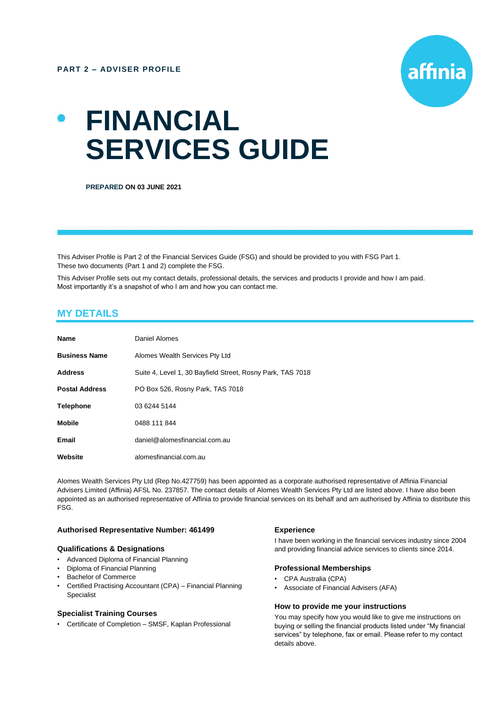

# **FINANCIAL SERVICES GUIDE**

**PREPARED ON 03 JUNE 2021**

This Adviser Profile is Part 2 of the Financial Services Guide (FSG) and should be provided to you with FSG Part 1. These two documents (Part 1 and 2) complete the FSG.

This Adviser Profile sets out my contact details, professional details, the services and products I provide and how I am paid. Most importantly it's a snapshot of who I am and how you can contact me.

# **MY DETAILS**

| <b>Name</b>           | Daniel Alomes                                              |
|-----------------------|------------------------------------------------------------|
| <b>Business Name</b>  | Alomes Wealth Services Pty Ltd                             |
| <b>Address</b>        | Suite 4, Level 1, 30 Bayfield Street, Rosny Park, TAS 7018 |
| <b>Postal Address</b> | PO Box 526, Rosny Park, TAS 7018                           |
| <b>Telephone</b>      | 03 6244 5144                                               |
| <b>Mobile</b>         | 0488 111 844                                               |
| Email                 | daniel@alomesfinancial.com.au                              |
| Website               | alomesfinancial.com.au                                     |

Alomes Wealth Services Pty Ltd (Rep No.427759) has been appointed as a corporate authorised representative of Affinia Financial Advisers Limited (Affinia) AFSL No. 237857. The contact details of Alomes Wealth Services Pty Ltd are listed above. I have also been appointed as an authorised representative of Affinia to provide financial services on its behalf and am authorised by Affinia to distribute this FSG.

#### **Authorised Representative Number: 461499**

#### **Qualifications & Designations**

- Advanced Diploma of Financial Planning
- Diploma of Financial Planning
- Bachelor of Commerce
- Certified Practising Accountant (CPA) Financial Planning Specialist

#### **Specialist Training Courses**

• Certificate of Completion – SMSF, Kaplan Professional

# **Experience**

I have been working in the financial services industry since 2004 and providing financial advice services to clients since 2014.

#### **Professional Memberships**

- CPA Australia (CPA)
- Associate of Financial Advisers (AFA)

#### **How to provide me your instructions**

You may specify how you would like to give me instructions on buying or selling the financial products listed under "My financial services" by telephone, fax or email. Please refer to my contact details above.